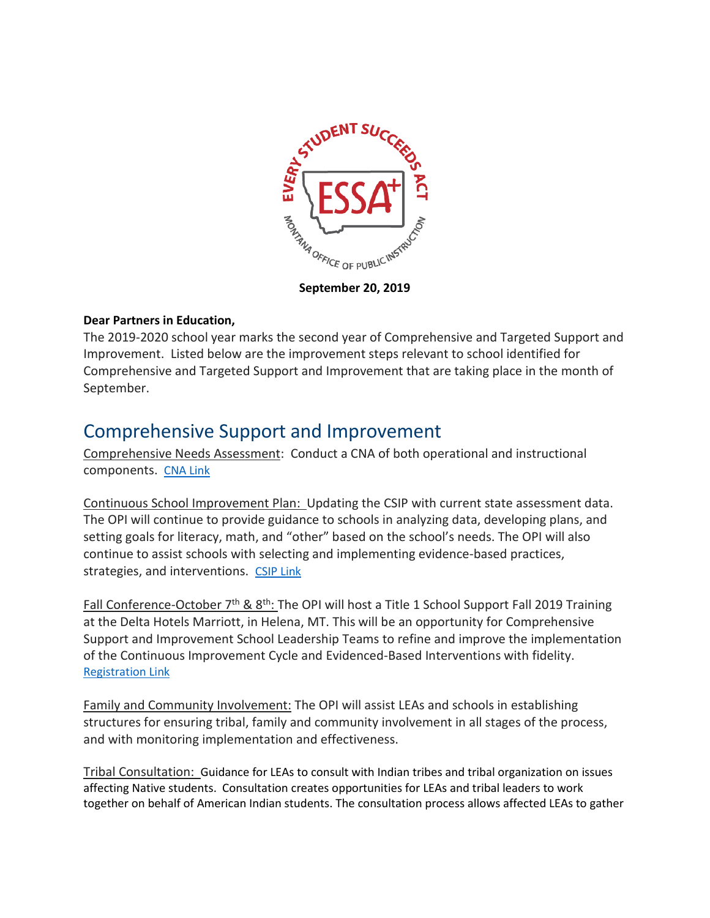

**September 20, 2019**

## **Dear Partners in Education,**

The 2019-2020 school year marks the second year of Comprehensive and Targeted Support and Improvement. Listed below are the improvement steps relevant to school identified for Comprehensive and Targeted Support and Improvement that are taking place in the month of September.

## Comprehensive Support and Improvement

Comprehensive Needs Assessment: Conduct a CNA of both operational and instructional components. [CNA Link](http://opi.mt.gov/Portals/182/Page%20Files/Title%20%26%20Other%20Federal%20Programs/Docs/CNA%209-8-17%20FINAL.pdf)

Continuous School Improvement Plan: Updating the CSIP with current state assessment data. The OPI will continue to provide guidance to schools in analyzing data, developing plans, and setting goals for literacy, math, and "other" based on the school's needs. The OPI will also continue to assist schools with selecting and implementing evidence-based practices, strategies, and interventions. [CSIP Link](https://apps.opi.mt.gov/CSIP/frmLogin.aspx?ReturnUrl=%2fCSIP%2ffrmDefault.aspx)

Fall Conference-October  $7<sup>th</sup>$  &  $8<sup>th</sup>$ : The OPI will host a Title 1 School Support Fall 2019 Training at the Delta Hotels Marriott, in Helena, MT. This will be an opportunity for Comprehensive Support and Improvement School Leadership Teams to refine and improve the implementation of the Continuous Improvement Cycle and Evidenced-Based Interventions with fidelity. [Registration Link](https://forms.gle/U9yxrnL9uCtEAoLs5)

Family and Community Involvement: The OPI will assist LEAs and schools in establishing structures for ensuring tribal, family and community involvement in all stages of the process, and with monitoring implementation and effectiveness.

Tribal Consultation: Guidance for LEAs to consult with Indian tribes and tribal organization on issues affecting Native students. Consultation creates opportunities for LEAs and tribal leaders to work together on behalf of American Indian students. The consultation process allows affected LEAs to gather